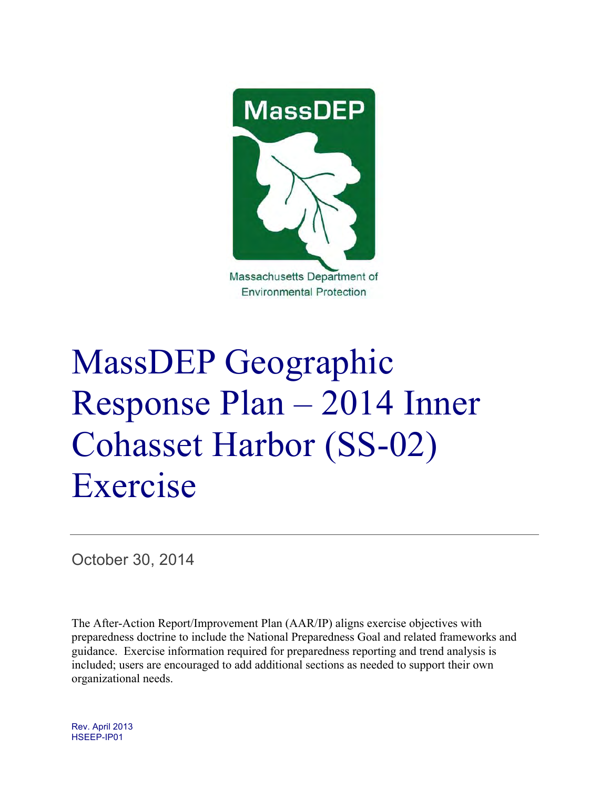

# MassDEP Geographic Response Plan – 2014 Inner Cohasset Harbor (SS-02) Exercise

October 30, 2014

The After-Action Report/Improvement Plan (AAR/IP) aligns exercise objectives with preparedness doctrine to include the National Preparedness Goal and related frameworks and guidance. Exercise information required for preparedness reporting and trend analysis is included; users are encouraged to add additional sections as needed to support their own organizational needs.

Rev. April 2013 HSEEP-IP01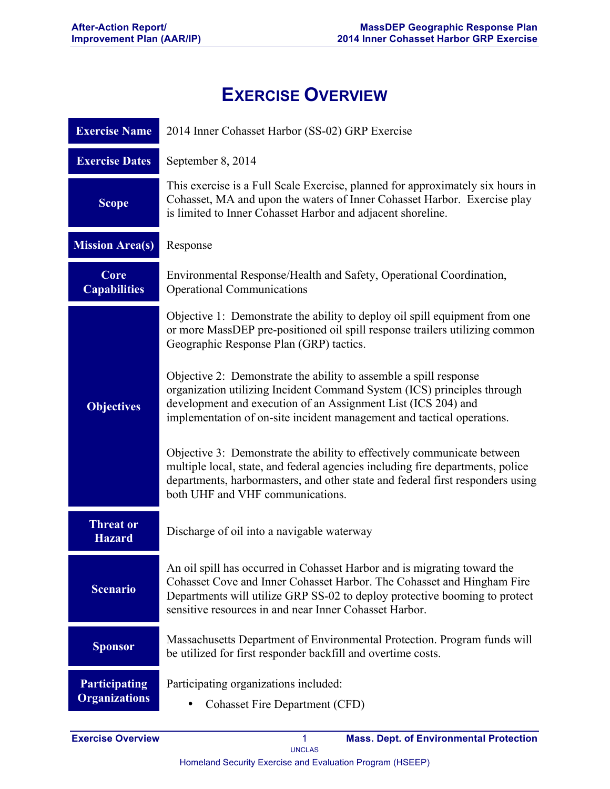# **EXERCISE OVERVIEW**

| <b>Exercise Name</b>                         | 2014 Inner Cohasset Harbor (SS-02) GRP Exercise                                                                                                                                                                                                                                            |  |  |  |
|----------------------------------------------|--------------------------------------------------------------------------------------------------------------------------------------------------------------------------------------------------------------------------------------------------------------------------------------------|--|--|--|
| <b>Exercise Dates</b>                        | September 8, 2014                                                                                                                                                                                                                                                                          |  |  |  |
| <b>Scope</b>                                 | This exercise is a Full Scale Exercise, planned for approximately six hours in<br>Cohasset, MA and upon the waters of Inner Cohasset Harbor. Exercise play<br>is limited to Inner Cohasset Harbor and adjacent shoreline.                                                                  |  |  |  |
| <b>Mission Area(s)</b>                       | Response                                                                                                                                                                                                                                                                                   |  |  |  |
| Core<br><b>Capabilities</b>                  | Environmental Response/Health and Safety, Operational Coordination,<br><b>Operational Communications</b>                                                                                                                                                                                   |  |  |  |
|                                              | Objective 1: Demonstrate the ability to deploy oil spill equipment from one<br>or more MassDEP pre-positioned oil spill response trailers utilizing common<br>Geographic Response Plan (GRP) tactics.                                                                                      |  |  |  |
| <b>Objectives</b>                            | Objective 2: Demonstrate the ability to assemble a spill response<br>organization utilizing Incident Command System (ICS) principles through<br>development and execution of an Assignment List (ICS 204) and<br>implementation of on-site incident management and tactical operations.    |  |  |  |
|                                              | Objective 3: Demonstrate the ability to effectively communicate between<br>multiple local, state, and federal agencies including fire departments, police<br>departments, harbormasters, and other state and federal first responders using<br>both UHF and VHF communications.            |  |  |  |
| <b>Threat or</b><br><b>Hazard</b>            | Discharge of oil into a navigable waterway                                                                                                                                                                                                                                                 |  |  |  |
| <b>Scenario</b>                              | An oil spill has occurred in Cohasset Harbor and is migrating toward the<br>Cohasset Cove and Inner Cohasset Harbor. The Cohasset and Hingham Fire<br>Departments will utilize GRP SS-02 to deploy protective booming to protect<br>sensitive resources in and near Inner Cohasset Harbor. |  |  |  |
| <b>Sponsor</b>                               | Massachusetts Department of Environmental Protection. Program funds will<br>be utilized for first responder backfill and overtime costs.                                                                                                                                                   |  |  |  |
| <b>Participating</b><br><b>Organizations</b> | Participating organizations included:<br><b>Cohasset Fire Department (CFD)</b>                                                                                                                                                                                                             |  |  |  |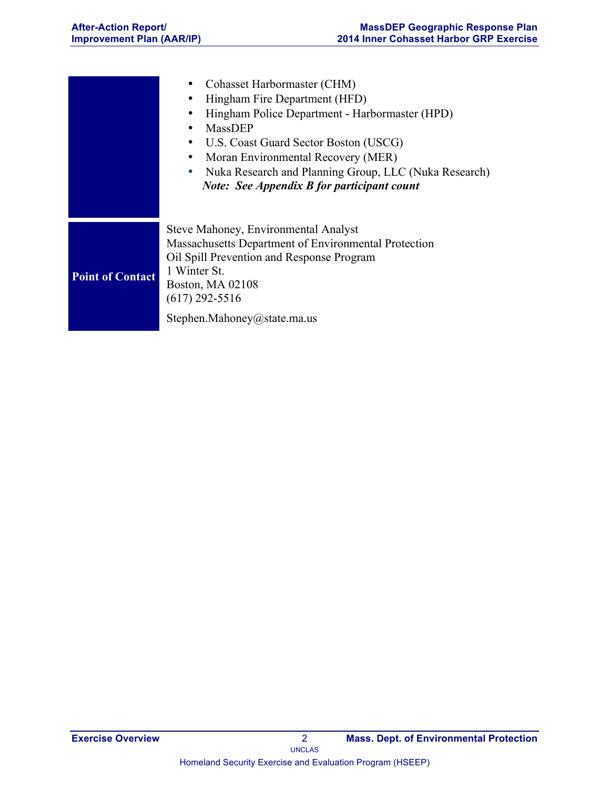|                         | Cohasset Harbormaster (CHM)<br>Hingham Fire Department (HFD)<br>Hingham Police Department - Harbormaster (HPD)<br>MassDEP<br>٠<br>U.S. Coast Guard Sector Boston (USCG)<br>$\bullet$<br>Moran Environmental Recovery (MER)<br>Nuka Research and Planning Group, LLC (Nuka Research)<br><b>Note:</b> See Appendix B for participant count |
|-------------------------|------------------------------------------------------------------------------------------------------------------------------------------------------------------------------------------------------------------------------------------------------------------------------------------------------------------------------------------|
| <b>Point of Contact</b> | Steve Mahoney, Environmental Analyst<br>Massachusetts Department of Environmental Protection<br>Oil Spill Prevention and Response Program<br>1 Winter St.<br>Boston, MA 02108<br>$(617)$ 292-5516<br>Stephen.Mahoney@state.ma.us                                                                                                         |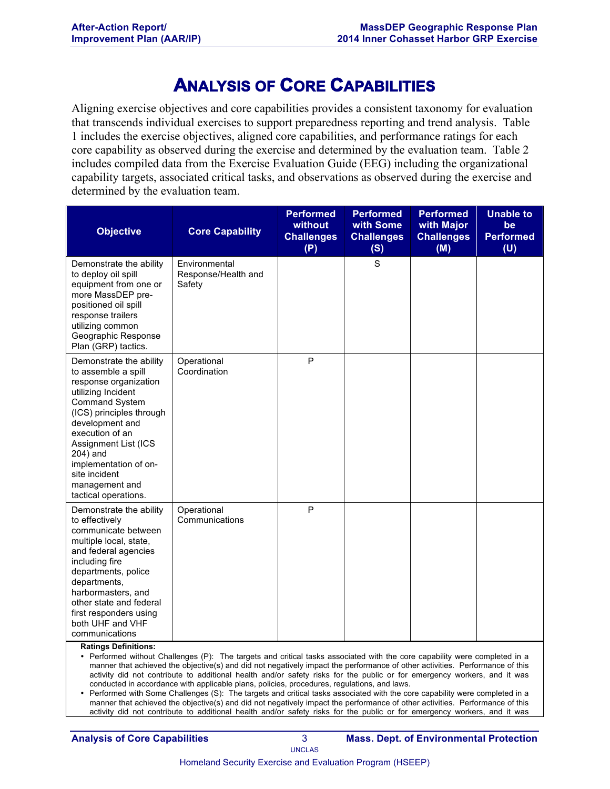## **ANALYSIS OF CORE CAPABILITIES**

Aligning exercise objectives and core capabilities provides a consistent taxonomy for evaluation that transcends individual exercises to support preparedness reporting and trend analysis. Table 1 includes the exercise objectives, aligned core capabilities, and performance ratings for each core capability as observed during the exercise and determined by the evaluation team. Table 2 includes compiled data from the Exercise Evaluation Guide (EEG) including the organizational capability targets, associated critical tasks, and observations as observed during the exercise and determined by the evaluation team.

| <b>Objective</b>                                                                                                                                                                                                                                                                                                 | <b>Core Capability</b>                         | <b>Performed</b><br>without<br><b>Challenges</b><br>(P) | <b>Performed</b><br>with Some<br><b>Challenges</b><br>(S) | <b>Performed</b><br>with Major<br><b>Challenges</b><br>(M) | <b>Unable to</b><br>be<br><b>Performed</b><br>(U) |
|------------------------------------------------------------------------------------------------------------------------------------------------------------------------------------------------------------------------------------------------------------------------------------------------------------------|------------------------------------------------|---------------------------------------------------------|-----------------------------------------------------------|------------------------------------------------------------|---------------------------------------------------|
| Demonstrate the ability<br>to deploy oil spill<br>equipment from one or<br>more MassDEP pre-<br>positioned oil spill<br>response trailers<br>utilizing common<br>Geographic Response<br>Plan (GRP) tactics.                                                                                                      | Environmental<br>Response/Health and<br>Safety |                                                         | $\mathbf S$                                               |                                                            |                                                   |
| Demonstrate the ability<br>to assemble a spill<br>response organization<br>utilizing Incident<br><b>Command System</b><br>(ICS) principles through<br>development and<br>execution of an<br>Assignment List (ICS<br>204) and<br>implementation of on-<br>site incident<br>management and<br>tactical operations. | Operational<br>Coordination                    | P                                                       |                                                           |                                                            |                                                   |
| Demonstrate the ability<br>to effectively<br>communicate between<br>multiple local, state,<br>and federal agencies<br>including fire<br>departments, police<br>departments,<br>harbormasters, and<br>other state and federal<br>first responders using<br>both UHF and VHF<br>communications                     | Operational<br>Communications                  | P                                                       |                                                           |                                                            |                                                   |

**Ratings Definitions:**

• Performed without Challenges (P): The targets and critical tasks associated with the core capability were completed in a manner that achieved the objective(s) and did not negatively impact the performance of other activities. Performance of this activity did not contribute to additional health and/or safety risks for the public or for emergency workers, and it was conducted in accordance with applicable plans, policies, procedures, regulations, and laws.

• Performed with Some Challenges (S): The targets and critical tasks associated with the core capability were completed in a manner that achieved the objective(s) and did not negatively impact the performance of other activities. Performance of this activity did not contribute to additional health and/or safety risks for the public or for emergency workers, and it was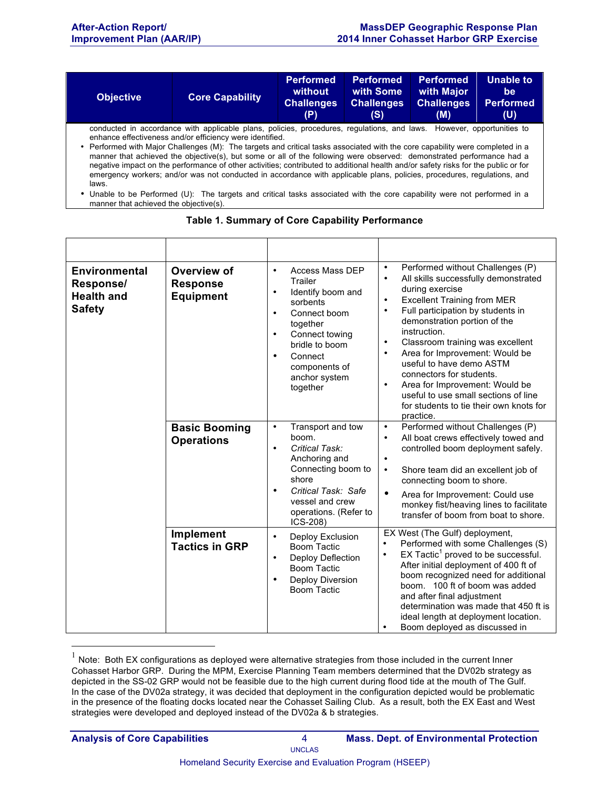| <b>Objective</b> | <b>Core Capability</b>                                                                                                                                                                                                                                                                                                                                                                                                                                                                                                                                                                                                                                                                                       | <b>Performed</b><br>without<br><b>Challenges</b><br>(P) | <b>Performed</b><br>with Some<br><b>Challenges</b><br>(S) | <b>Performed</b><br>with Major<br><b>Challenges</b><br>(M) | <b>Unable to</b><br>be<br><b>Performed</b><br>(U) |
|------------------|--------------------------------------------------------------------------------------------------------------------------------------------------------------------------------------------------------------------------------------------------------------------------------------------------------------------------------------------------------------------------------------------------------------------------------------------------------------------------------------------------------------------------------------------------------------------------------------------------------------------------------------------------------------------------------------------------------------|---------------------------------------------------------|-----------------------------------------------------------|------------------------------------------------------------|---------------------------------------------------|
| laws.            | conducted in accordance with applicable plans, policies, procedures, regulations, and laws. However, opportunities to<br>enhance effectiveness and/or efficiency were identified.<br>• Performed with Major Challenges (M): The targets and critical tasks associated with the core capability were completed in a<br>manner that achieved the objective(s), but some or all of the following were observed: demonstrated performance had a<br>negative impact on the performance of other activities; contributed to additional health and/or safety risks for the public or for<br>emergency workers; and/or was not conducted in accordance with applicable plans, policies, procedures, regulations, and |                                                         |                                                           |                                                            |                                                   |

<sup>•</sup> Unable to be Performed (U): The targets and critical tasks associated with the core capability were not performed in a manner that achieved the objective(s).

| <b>Environmental</b><br>Response/<br><b>Health and</b><br><b>Safety</b> | Overview of<br><b>Response</b><br><b>Equipment</b> | <b>Access Mass DEP</b><br>$\bullet$<br>Trailer<br>Identify boom and<br>$\bullet$<br>sorbents<br>Connect boom<br>$\bullet$<br>together<br>Connect towing<br>$\bullet$<br>bridle to boom<br>Connect<br>$\bullet$<br>components of<br>anchor system<br>together | Performed without Challenges (P)<br>$\bullet$<br>All skills successfully demonstrated<br>$\bullet$<br>during exercise<br><b>Excellent Training from MER</b><br>$\bullet$<br>Full participation by students in<br>٠<br>demonstration portion of the<br>instruction.<br>Classroom training was excellent<br>$\bullet$<br>Area for Improvement: Would be<br>$\bullet$<br>useful to have demo ASTM<br>connectors for students.<br>Area for Improvement: Would be<br>$\bullet$<br>useful to use small sections of line<br>for students to tie their own knots for<br>practice. |
|-------------------------------------------------------------------------|----------------------------------------------------|--------------------------------------------------------------------------------------------------------------------------------------------------------------------------------------------------------------------------------------------------------------|---------------------------------------------------------------------------------------------------------------------------------------------------------------------------------------------------------------------------------------------------------------------------------------------------------------------------------------------------------------------------------------------------------------------------------------------------------------------------------------------------------------------------------------------------------------------------|
|                                                                         | <b>Basic Booming</b><br><b>Operations</b>          | Transport and tow<br>$\bullet$<br>boom.<br>Critical Task:<br>$\bullet$<br>Anchoring and<br>Connecting boom to<br>shore<br>Critical Task: Safe<br>$\bullet$<br>vessel and crew<br>operations. (Refer to<br>ICS-208)                                           | Performed without Challenges (P)<br>$\bullet$<br>All boat crews effectively towed and<br>$\bullet$<br>controlled boom deployment safely.<br>$\bullet$<br>Shore team did an excellent job of<br>$\bullet$<br>connecting boom to shore.<br>$\bullet$<br>Area for Improvement: Could use<br>monkey fist/heaving lines to facilitate<br>transfer of boom from boat to shore.                                                                                                                                                                                                  |
|                                                                         | Implement<br><b>Tactics in GRP</b>                 | Deploy Exclusion<br>$\bullet$<br><b>Boom Tactic</b><br>Deploy Deflection<br>$\bullet$<br><b>Boom Tactic</b><br>Deploy Diversion<br>$\bullet$<br><b>Boom Tactic</b>                                                                                           | EX West (The Gulf) deployment,<br>Performed with some Challenges (S)<br>$\bullet$<br>$EX$ Tactic <sup>1</sup> proved to be successful.<br>$\bullet$<br>After initial deployment of 400 ft of<br>boom recognized need for additional<br>boom. 100 ft of boom was added<br>and after final adjustment<br>determination was made that 450 ft is<br>ideal length at deployment location.<br>Boom deployed as discussed in<br>$\bullet$                                                                                                                                        |

#### **Table 1. Summary of Core Capability Performance**

 $1$  Note: Both EX configurations as deployed were alternative strategies from those included in the current Inner Cohasset Harbor GRP. During the MPM, Exercise Planning Team members determined that the DV02b strategy as depicted in the SS-02 GRP would not be feasible due to the high current during flood tide at the mouth of The Gulf. In the case of the DV02a strategy, it was decided that deployment in the configuration depicted would be problematic in the presence of the floating docks located near the Cohasset Sailing Club. As a result, both the EX East and West strategies were developed and deployed instead of the DV02a & b strategies.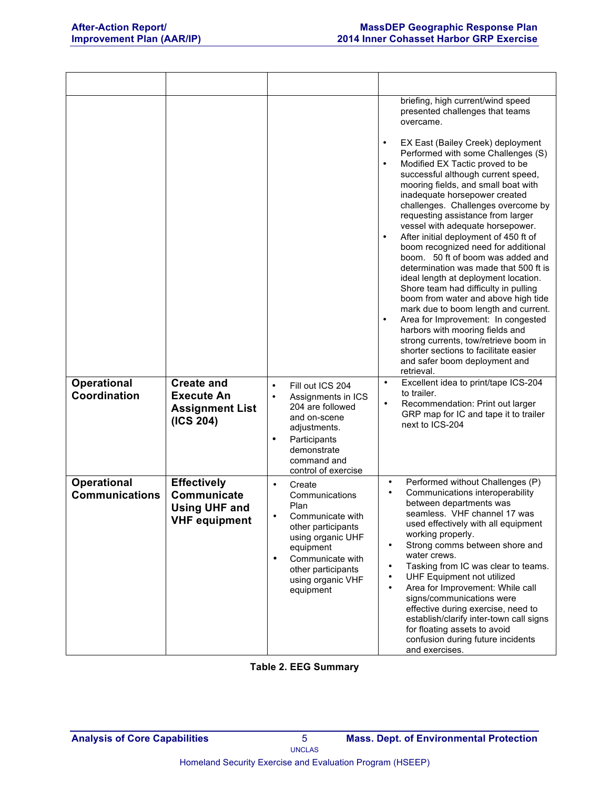|                                             |                                                                                   |                                                                                                                                                                                                                    | briefing, high current/wind speed<br>presented challenges that teams<br>overcame.<br>EX East (Bailey Creek) deployment<br>$\bullet$<br>Performed with some Challenges (S)<br>Modified EX Tactic proved to be<br>$\bullet$<br>successful although current speed,<br>mooring fields, and small boat with<br>inadequate horsepower created<br>challenges. Challenges overcome by<br>requesting assistance from larger<br>vessel with adequate horsepower.<br>After initial deployment of 450 ft of<br>$\bullet$<br>boom recognized need for additional<br>boom. 50 ft of boom was added and<br>determination was made that 500 ft is<br>ideal length at deployment location.<br>Shore team had difficulty in pulling<br>boom from water and above high tide<br>mark due to boom length and current.<br>Area for Improvement: In congested<br>$\bullet$<br>harbors with mooring fields and<br>strong currents, tow/retrieve boom in<br>shorter sections to facilitate easier<br>and safer boom deployment and<br>retrieval. |
|---------------------------------------------|-----------------------------------------------------------------------------------|--------------------------------------------------------------------------------------------------------------------------------------------------------------------------------------------------------------------|-------------------------------------------------------------------------------------------------------------------------------------------------------------------------------------------------------------------------------------------------------------------------------------------------------------------------------------------------------------------------------------------------------------------------------------------------------------------------------------------------------------------------------------------------------------------------------------------------------------------------------------------------------------------------------------------------------------------------------------------------------------------------------------------------------------------------------------------------------------------------------------------------------------------------------------------------------------------------------------------------------------------------|
| <b>Operational</b><br>Coordination          | <b>Create and</b><br><b>Execute An</b><br><b>Assignment List</b><br>(ICS 204)     | Fill out ICS 204<br>$\bullet$<br>$\bullet$<br>Assignments in ICS<br>204 are followed<br>and on-scene<br>adjustments.<br>$\bullet$<br>Participants<br>demonstrate<br>command and<br>control of exercise             | Excellent idea to print/tape ICS-204<br>$\bullet$<br>to trailer.<br>Recommendation: Print out larger<br>$\bullet$<br>GRP map for IC and tape it to trailer<br>next to ICS-204                                                                                                                                                                                                                                                                                                                                                                                                                                                                                                                                                                                                                                                                                                                                                                                                                                           |
| <b>Operational</b><br><b>Communications</b> | <b>Effectively</b><br>Communicate<br><b>Using UHF and</b><br><b>VHF equipment</b> | Create<br>$\bullet$<br>Communications<br>Plan<br>Communicate with<br>other participants<br>using organic UHF<br>equipment<br>Communicate with<br>$\bullet$<br>other participants<br>using organic VHF<br>equipment | Performed without Challenges (P)<br>$\bullet$<br>Communications interoperability<br>$\bullet$<br>between departments was<br>seamless. VHF channel 17 was<br>used effectively with all equipment<br>working properly.<br>Strong comms between shore and<br>$\bullet$<br>water crews.<br>Tasking from IC was clear to teams.<br>$\bullet$<br>UHF Equipment not utilized<br>$\bullet$<br>Area for Improvement: While call<br>$\bullet$<br>signs/communications were<br>effective during exercise, need to<br>establish/clarify inter-town call signs<br>for floating assets to avoid<br>confusion during future incidents<br>and exercises.                                                                                                                                                                                                                                                                                                                                                                                |

#### **Table 2. EEG Summary**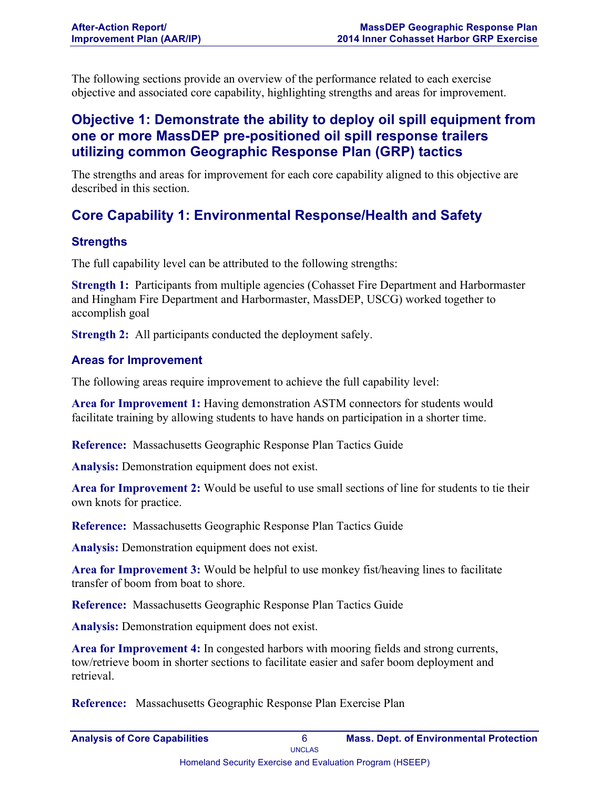The following sections provide an overview of the performance related to each exercise objective and associated core capability, highlighting strengths and areas for improvement.

## **Objective 1: Demonstrate the ability to deploy oil spill equipment from one or more MassDEP pre-positioned oil spill response trailers utilizing common Geographic Response Plan (GRP) tactics**

The strengths and areas for improvement for each core capability aligned to this objective are described in this section.

## **Core Capability 1: Environmental Response/Health and Safety**

## **Strengths**

The full capability level can be attributed to the following strengths:

**Strength 1:** Participants from multiple agencies (Cohasset Fire Department and Harbormaster and Hingham Fire Department and Harbormaster, MassDEP, USCG) worked together to accomplish goal

**Strength 2:** All participants conducted the deployment safely.

## **Areas for Improvement**

The following areas require improvement to achieve the full capability level:

**Area for Improvement 1:** Having demonstration ASTM connectors for students would facilitate training by allowing students to have hands on participation in a shorter time.

**Reference:** Massachusetts Geographic Response Plan Tactics Guide

**Analysis:** Demonstration equipment does not exist.

**Area for Improvement 2:** Would be useful to use small sections of line for students to tie their own knots for practice.

**Reference:** Massachusetts Geographic Response Plan Tactics Guide

**Analysis:** Demonstration equipment does not exist.

**Area for Improvement 3:** Would be helpful to use monkey fist/heaving lines to facilitate transfer of boom from boat to shore.

**Reference:** Massachusetts Geographic Response Plan Tactics Guide

**Analysis:** Demonstration equipment does not exist.

**Area for Improvement 4:** In congested harbors with mooring fields and strong currents, tow/retrieve boom in shorter sections to facilitate easier and safer boom deployment and retrieval.

**Reference:** Massachusetts Geographic Response Plan Exercise Plan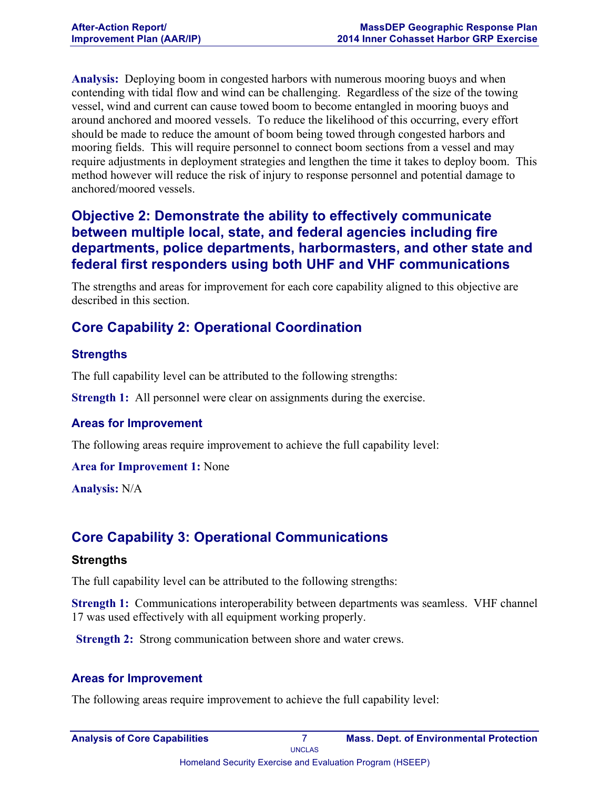**Analysis:** Deploying boom in congested harbors with numerous mooring buoys and when contending with tidal flow and wind can be challenging. Regardless of the size of the towing vessel, wind and current can cause towed boom to become entangled in mooring buoys and around anchored and moored vessels. To reduce the likelihood of this occurring, every effort should be made to reduce the amount of boom being towed through congested harbors and mooring fields. This will require personnel to connect boom sections from a vessel and may require adjustments in deployment strategies and lengthen the time it takes to deploy boom. This method however will reduce the risk of injury to response personnel and potential damage to anchored/moored vessels.

## **Objective 2: Demonstrate the ability to effectively communicate between multiple local, state, and federal agencies including fire departments, police departments, harbormasters, and other state and federal first responders using both UHF and VHF communications**

The strengths and areas for improvement for each core capability aligned to this objective are described in this section.

## **Core Capability 2: Operational Coordination**

## **Strengths**

The full capability level can be attributed to the following strengths:

**Strength 1:** All personnel were clear on assignments during the exercise.

### **Areas for Improvement**

The following areas require improvement to achieve the full capability level:

**Area for Improvement 1:** None

**Analysis:** N/A

## **Core Capability 3: Operational Communications**

#### **Strengths**

The full capability level can be attributed to the following strengths:

**Strength 1:** Communications interoperability between departments was seamless. VHF channel 17 was used effectively with all equipment working properly.

**Strength 2:** Strong communication between shore and water crews.

### **Areas for Improvement**

The following areas require improvement to achieve the full capability level: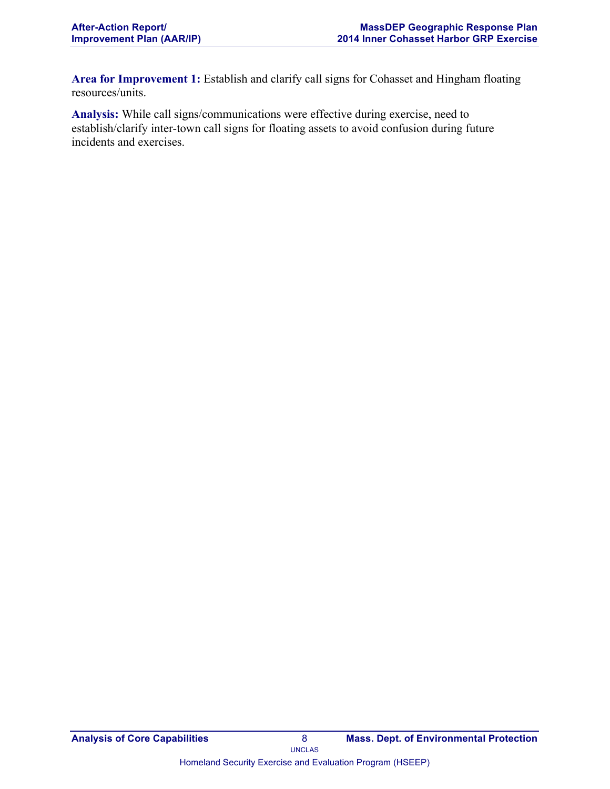**Area for Improvement 1:** Establish and clarify call signs for Cohasset and Hingham floating resources/units.

**Analysis:** While call signs/communications were effective during exercise, need to establish/clarify inter-town call signs for floating assets to avoid confusion during future incidents and exercises.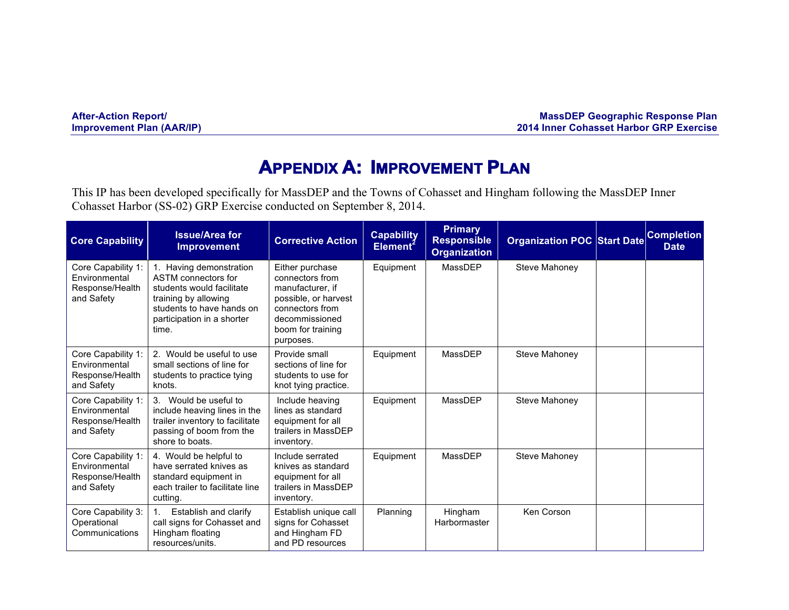| <b>After-Action Report/</b>      |  |
|----------------------------------|--|
| <b>Improvement Plan (AAR/IP)</b> |  |

**After-Action Report/ MassDEP Geographic Response Plan 2014 Inner Cohasset Harbor GRP Exercise** 

## **APPENDIX A: IMPROVEMENT PLAN**

This IP has been developed specifically for MassDEP and the Towns of Cohasset and Hingham following the MassDEP Inner Cohasset Harbor (SS-02) GRP Exercise conducted on September 8, 2014.

| <b>Core Capability</b>                                               | <b>Issue/Area for</b><br><b>Improvement</b>                                                                                                                             | <b>Corrective Action</b>                                                                                                                              | <b>Capability</b><br>Element <sup>2</sup> | <b>Primary</b><br><b>Responsible</b><br><b>Organization</b> | <b>Organization POC Start Date</b> | Completion<br><b>Date</b> |
|----------------------------------------------------------------------|-------------------------------------------------------------------------------------------------------------------------------------------------------------------------|-------------------------------------------------------------------------------------------------------------------------------------------------------|-------------------------------------------|-------------------------------------------------------------|------------------------------------|---------------------------|
| Core Capability 1:<br>Environmental<br>Response/Health<br>and Safety | 1. Having demonstration<br>ASTM connectors for<br>students would facilitate<br>training by allowing<br>students to have hands on<br>participation in a shorter<br>time. | Either purchase<br>connectors from<br>manufacturer. if<br>possible, or harvest<br>connectors from<br>decommissioned<br>boom for training<br>purposes. | Equipment                                 | MassDEP                                                     | Steve Mahoney                      |                           |
| Core Capability 1:<br>Environmental<br>Response/Health<br>and Safety | 2. Would be useful to use<br>small sections of line for<br>students to practice tying<br>knots.                                                                         | Provide small<br>sections of line for<br>students to use for<br>knot tying practice.                                                                  | Equipment                                 | MassDEP                                                     | Steve Mahoney                      |                           |
| Core Capability 1:<br>Environmental<br>Response/Health<br>and Safety | 3. Would be useful to<br>include heaving lines in the<br>trailer inventory to facilitate<br>passing of boom from the<br>shore to boats.                                 | Include heaving<br>lines as standard<br>equipment for all<br>trailers in MassDEP<br>inventory.                                                        | Equipment                                 | MassDEP                                                     | Steve Mahoney                      |                           |
| Core Capability 1:<br>Environmental<br>Response/Health<br>and Safety | 4. Would be helpful to<br>have serrated knives as<br>standard equipment in<br>each trailer to facilitate line<br>cutting.                                               | Include serrated<br>knives as standard<br>equipment for all<br>trailers in MassDEP<br>inventory.                                                      | Equipment                                 | MassDEP                                                     | Steve Mahoney                      |                           |
| Core Capability 3:<br>Operational<br>Communications                  | Establish and clarify<br>call signs for Cohasset and<br>Hingham floating<br>resources/units.                                                                            | Establish unique call<br>signs for Cohasset<br>and Hingham FD<br>and PD resources                                                                     | Planning                                  | Hingham<br>Harbormaster                                     | Ken Corson                         |                           |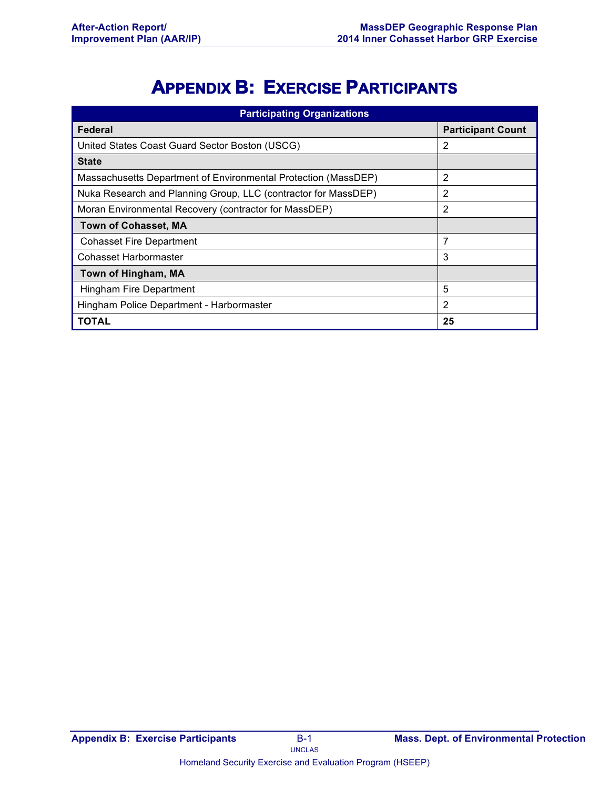# **APPENDIX B: EXERCISE PARTICIPANTS**

| <b>Participating Organizations</b>                             |                          |  |  |
|----------------------------------------------------------------|--------------------------|--|--|
| Federal                                                        | <b>Participant Count</b> |  |  |
| United States Coast Guard Sector Boston (USCG)                 | 2                        |  |  |
| <b>State</b>                                                   |                          |  |  |
| Massachusetts Department of Environmental Protection (MassDEP) | 2                        |  |  |
| Nuka Research and Planning Group, LLC (contractor for MassDEP) | 2                        |  |  |
| Moran Environmental Recovery (contractor for MassDEP)          | 2                        |  |  |
| <b>Town of Cohasset, MA</b>                                    |                          |  |  |
| <b>Cohasset Fire Department</b>                                | 7                        |  |  |
| <b>Cohasset Harbormaster</b>                                   | 3                        |  |  |
| Town of Hingham, MA                                            |                          |  |  |
| Hingham Fire Department                                        | 5                        |  |  |
| Hingham Police Department - Harbormaster                       | 2                        |  |  |
| <b>TOTAL</b>                                                   | 25                       |  |  |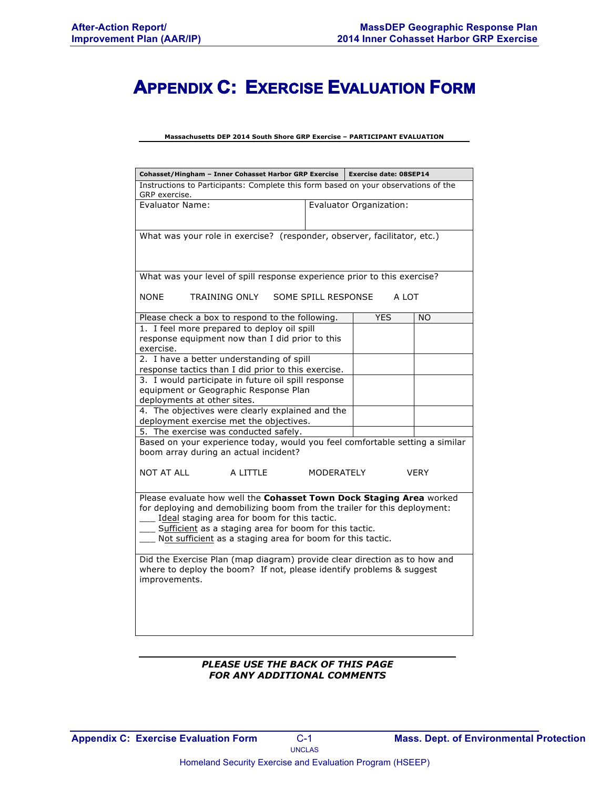## **APPENDIX C: EXERCISE EVALUATION FORM**

**Massachusetts DEP 2014 South Shore GRP Exercise – PARTICIPANT EVALUATION**

| Cohasset/Hingham - Inner Cohasset Harbor GRP Exercise                                                                                                                                                                                                                                                                    |                         | <b>Exercise date: 08SEP14</b> |            |             |
|--------------------------------------------------------------------------------------------------------------------------------------------------------------------------------------------------------------------------------------------------------------------------------------------------------------------------|-------------------------|-------------------------------|------------|-------------|
| Instructions to Participants: Complete this form based on your observations of the<br>GRP exercise.                                                                                                                                                                                                                      |                         |                               |            |             |
| <b>Evaluator Name:</b>                                                                                                                                                                                                                                                                                                   | Evaluator Organization: |                               |            |             |
| What was your role in exercise? (responder, observer, facilitator, etc.)                                                                                                                                                                                                                                                 |                         |                               |            |             |
| What was your level of spill response experience prior to this exercise?                                                                                                                                                                                                                                                 |                         |                               |            |             |
| <b>NONE</b><br>TRAINING ONLY                                                                                                                                                                                                                                                                                             |                         | SOME SPILL RESPONSE           | A LOT      |             |
| Please check a box to respond to the following.                                                                                                                                                                                                                                                                          |                         |                               | <b>YES</b> | <b>NO</b>   |
| 1. I feel more prepared to deploy oil spill<br>response equipment now than I did prior to this<br>exercise.                                                                                                                                                                                                              |                         |                               |            |             |
| 2. I have a better understanding of spill<br>response tactics than I did prior to this exercise.                                                                                                                                                                                                                         |                         |                               |            |             |
| 3. I would participate in future oil spill response<br>equipment or Geographic Response Plan<br>deployments at other sites.                                                                                                                                                                                              |                         |                               |            |             |
| 4. The objectives were clearly explained and the<br>deployment exercise met the objectives.                                                                                                                                                                                                                              |                         |                               |            |             |
| 5. The exercise was conducted safely.                                                                                                                                                                                                                                                                                    |                         |                               |            |             |
| Based on your experience today, would you feel comfortable setting a similar<br>boom array during an actual incident?                                                                                                                                                                                                    |                         |                               |            |             |
| <b>NOT AT ALL</b>                                                                                                                                                                                                                                                                                                        | A LITTLE                | MODERATELY                    |            | <b>VERY</b> |
| Please evaluate how well the Cohasset Town Dock Staging Area worked<br>for deploying and demobilizing boom from the trailer for this deployment:<br>Ideal staging area for boom for this tactic.<br>Sufficient as a staging area for boom for this tactic.<br>Not sufficient as a staging area for boom for this tactic. |                         |                               |            |             |
| Did the Exercise Plan (map diagram) provide clear direction as to how and<br>where to deploy the boom? If not, please identify problems & suggest<br>improvements.                                                                                                                                                       |                         |                               |            |             |
|                                                                                                                                                                                                                                                                                                                          |                         |                               |            |             |

#### *PLEASE USE THE BACK OF THIS PAGE FOR ANY ADDITIONAL COMMENTS*